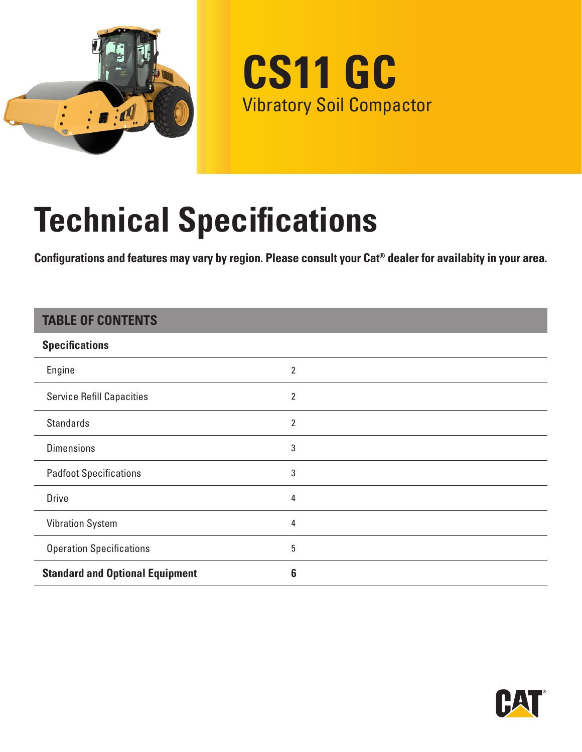

**CS11 GC** Vibratory Soil Compactor

# **Technical Specifications**

**Configurations and features may vary by region. Please consult your Cat® dealer for availabity in your area.**

### **TABLE OF CONTENTS**

| <b>Specifications</b>                  |   |
|----------------------------------------|---|
| Engine                                 | 2 |
| <b>Service Refill Capacities</b>       | 2 |
| <b>Standards</b>                       | 2 |
| <b>Dimensions</b>                      | 3 |
| <b>Padfoot Specifications</b>          | 3 |
| <b>Drive</b>                           | 4 |
| <b>Vibration System</b>                | 4 |
| <b>Operation Specifications</b>        | 5 |
| <b>Standard and Optional Equipment</b> | 6 |

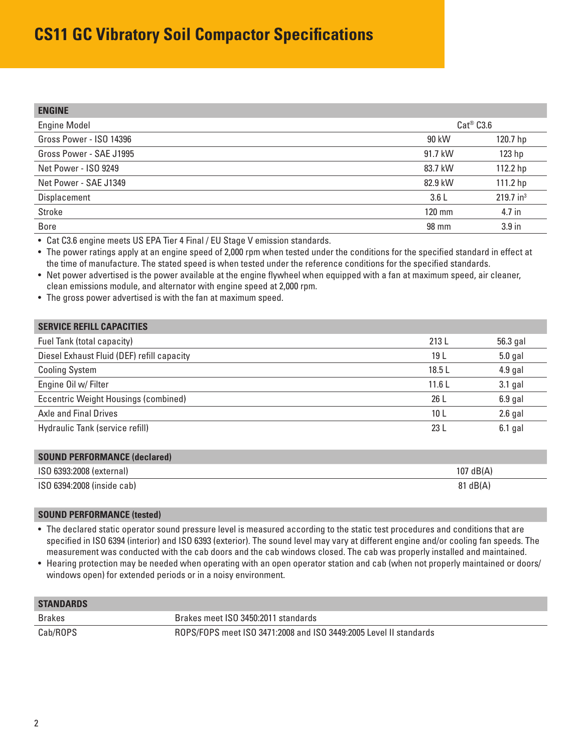## <span id="page-1-0"></span>**CS11 GC Vibratory Soil Compactor Specifications**

| <b>ENGINE</b>           |                  |                         |
|-------------------------|------------------|-------------------------|
| <b>Engine Model</b>     | $Cat^@$ $C3.6$   |                         |
| Gross Power - ISO 14396 | 90 kW            | 120.7 hp                |
| Gross Power - SAE J1995 | 91.7 kW          | 123 <sub>hp</sub>       |
| Net Power - ISO 9249    | 83.7 kW          | 112.2 hp                |
| Net Power - SAE J1349   | 82.9 kW          | 111.2 hp                |
| Displacement            | 3.6L             | $219.7$ in <sup>3</sup> |
| Stroke                  | $120 \text{ mm}$ | 4.7 in                  |
| <b>Bore</b>             | 98 mm            | 3.9 <sub>in</sub>       |

• Cat C3.6 engine meets US EPA Tier 4 Final / EU Stage V emission standards.

• The power ratings apply at an engine speed of 2,000 rpm when tested under the conditions for the specified standard in effect at the time of manufacture. The stated speed is when tested under the reference conditions for the specified standards.

• Net power advertised is the power available at the engine flywheel when equipped with a fan at maximum speed, air cleaner, clean emissions module, and alternator with engine speed at 2,000 rpm.

• The gross power advertised is with the fan at maximum speed.

| 213 L | 56.3 gal  |
|-------|-----------|
| 19 L  | $5.0$ gal |
| 18.5L | $4.9$ gal |
| 11.6L | 3.1 gal   |
| 26 L  | $6.9$ gal |
| 10 L  | $2.6$ gal |
| 23 L  | $6.1$ gal |
|       |           |

| <b>SOUND PERFORMANCE (declared)</b> |                     |
|-------------------------------------|---------------------|
| ISO 6393:2008 (external)            | $107 \text{ dB}(A)$ |
| ISO 6394:2008 (inside cab)          | $81 \text{ dB}(A)$  |

#### **SOUND PERFORMANCE (tested)**

• The declared static operator sound pressure level is measured according to the static test procedures and conditions that are specified in ISO 6394 (interior) and ISO 6393 (exterior). The sound level may vary at different engine and/or cooling fan speeds. The measurement was conducted with the cab doors and the cab windows closed. The cab was properly installed and maintained.

• Hearing protection may be needed when operating with an open operator station and cab (when not properly maintained or doors/ windows open) for extended periods or in a noisy environment.

| <b>STANDARDS</b> |                                                                   |
|------------------|-------------------------------------------------------------------|
| Brakes           | Brakes meet ISO 3450:2011 standards                               |
| Cab/ROPS         | ROPS/FOPS meet ISO 3471:2008 and ISO 3449:2005 Level II standards |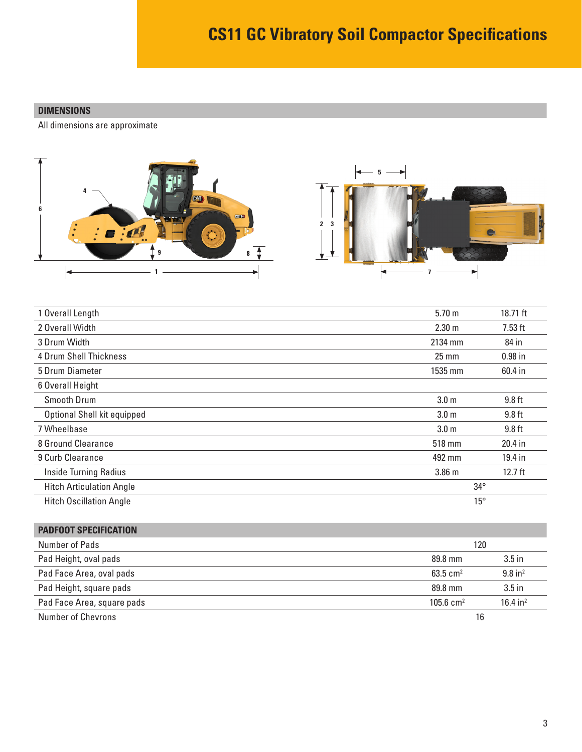#### <span id="page-2-0"></span>**DIMENSIONS**

All dimensions are approximate



| 1 Overall Length                | 5.70 <sub>m</sub> | 18.71 ft  |
|---------------------------------|-------------------|-----------|
| 2 Overall Width                 | 2.30 <sub>m</sub> | $7.53$ ft |
| 3 Drum Width                    | 2134 mm           | 84 in     |
| 4 Drum Shell Thickness          | $25 \, \text{mm}$ | $0.98$ in |
| 5 Drum Diameter                 | 1535 mm           | 60.4 in   |
| 6 Overall Height                |                   |           |
| Smooth Drum                     | 3.0 <sub>m</sub>  | $9.8$ ft  |
| Optional Shell kit equipped     | 3.0 <sub>m</sub>  | $9.8$ ft  |
| 7 Wheelbase                     | 3.0 <sub>m</sub>  | $9.8$ ft  |
| 8 Ground Clearance              | 518 mm            | 20.4 in   |
| 9 Curb Clearance                | 492 mm            | 19.4 in   |
| <b>Inside Turning Radius</b>    | 3.86 <sub>m</sub> | $12.7$ ft |
| <b>Hitch Articulation Angle</b> | $34^{\circ}$      |           |
| <b>Hitch Oscillation Angle</b>  | $15^{\circ}$      |           |

| <b>PADFOOT SPECIFICATION</b> |                      |                       |
|------------------------------|----------------------|-----------------------|
| Number of Pads               | 120                  |                       |
| Pad Height, oval pads        | 89.8 mm              | 3.5 <sub>in</sub>     |
| Pad Face Area, oval pads     | 63.5 $cm2$           | $9.8$ in <sup>2</sup> |
| Pad Height, square pads      | 89.8 mm              | $3.5$ in              |
| Pad Face Area, square pads   | $105.6 \text{ cm}^2$ | 16.4 in <sup>2</sup>  |
| Number of Chevrons           | 16                   |                       |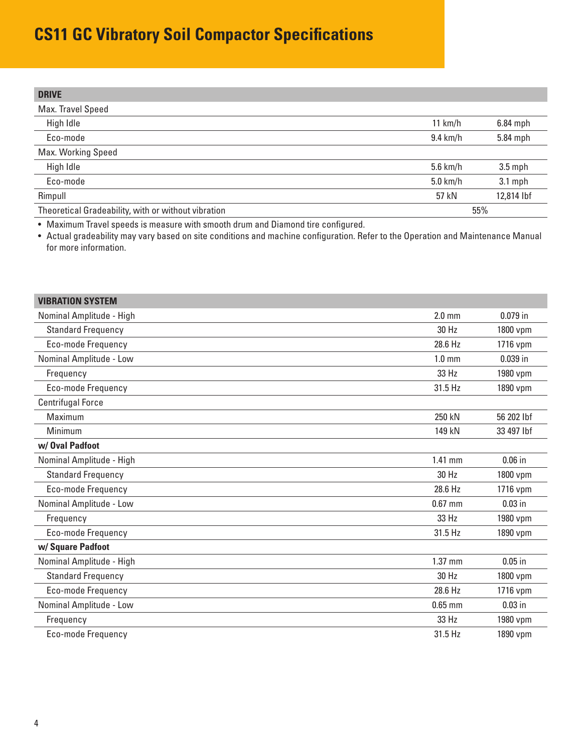## <span id="page-3-0"></span>**CS11 GC Vibratory Soil Compactor Specifications**

| <b>DRIVE</b>                                        |                    |            |
|-----------------------------------------------------|--------------------|------------|
| Max. Travel Speed                                   |                    |            |
| High Idle                                           | 11 km/h            | $6.84$ mph |
| Eco-mode                                            | $9.4 \text{ km/h}$ | 5.84 mph   |
| Max. Working Speed                                  |                    |            |
| High Idle                                           | $5.6$ km/h         | $3.5$ mph  |
| Eco-mode                                            | $5.0$ km/h         | $3.1$ mph  |
| Rimpull                                             | 57 kN              | 12,814 lbf |
| Theoretical Gradeability, with or without vibration | 55%                |            |

• Maximum Travel speeds is measure with smooth drum and Diamond tire configured.

• Actual gradeability may vary based on site conditions and machine configuration. Refer to the Operation and Maintenance Manual for more information.

| <b>VIBRATION SYSTEM</b>   |                  |            |
|---------------------------|------------------|------------|
| Nominal Amplitude - High  | $2.0 \text{ mm}$ | $0.079$ in |
| <b>Standard Frequency</b> | 30 Hz            | 1800 vpm   |
| Eco-mode Frequency        | 28.6 Hz          | 1716 vpm   |
| Nominal Amplitude - Low   | $1.0 \text{ mm}$ | $0.039$ in |
| Frequency                 | 33 Hz            | 1980 vpm   |
| Eco-mode Frequency        | 31.5 Hz          | 1890 vpm   |
| <b>Centrifugal Force</b>  |                  |            |
| Maximum                   | 250 kN           | 56 202 lbf |
| Minimum                   | 149 kN           | 33 497 lbf |
| w/Oval Padfoot            |                  |            |
| Nominal Amplitude - High  | 1.41 mm          | $0.06$ in  |
| <b>Standard Frequency</b> | 30 Hz            | 1800 vpm   |
| Eco-mode Frequency        | 28.6 Hz          | 1716 vpm   |
| Nominal Amplitude - Low   | $0.67$ mm        | $0.03$ in  |
| Frequency                 | 33 Hz            | 1980 vpm   |
| Eco-mode Frequency        | 31.5 Hz          | 1890 vpm   |
| w/ Square Padfoot         |                  |            |
| Nominal Amplitude - High  | 1.37 mm          | $0.05$ in  |
| <b>Standard Frequency</b> | 30 Hz            | 1800 vpm   |
| Eco-mode Frequency        | 28.6 Hz          | 1716 vpm   |
| Nominal Amplitude - Low   | $0.65$ mm        | $0.03$ in  |
| Frequency                 | 33 Hz            | 1980 vpm   |
| Eco-mode Frequency        | 31.5 Hz          | 1890 vpm   |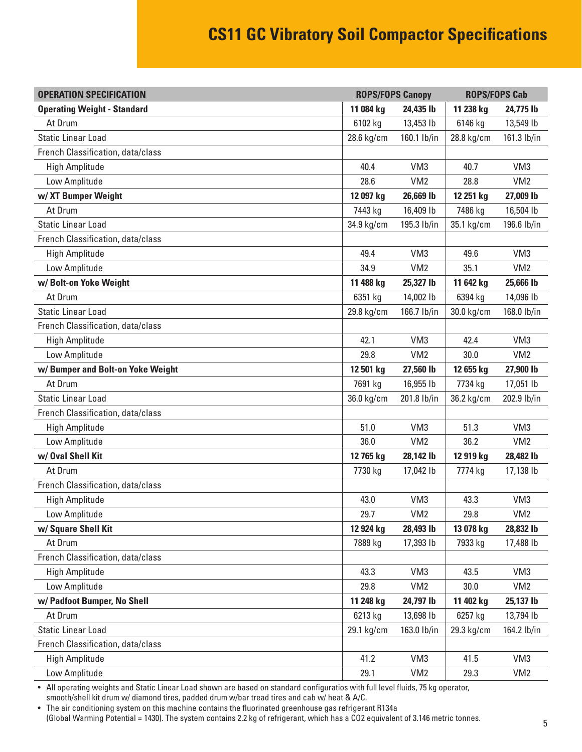## **CS11 GC Vibratory Soil Compactor Specifications**

<span id="page-4-0"></span>

| <b>OPERATION SPECIFICATION</b>     | <b>ROPS/FOPS Canopy</b> |                 | <b>ROPS/FOPS Cab</b> |                 |
|------------------------------------|-------------------------|-----------------|----------------------|-----------------|
| <b>Operating Weight - Standard</b> | 11 084 kg               | 24,435 lb       | 11 238 kg            | 24,775 lb       |
| At Drum                            | 6102 kg                 | 13,453 lb       | 6146 kg              | 13,549 lb       |
| <b>Static Linear Load</b>          | 28.6 kg/cm              | 160.1 lb/in     | 28.8 kg/cm           | 161.3 lb/in     |
| French Classification, data/class  |                         |                 |                      |                 |
| <b>High Amplitude</b>              | 40.4                    | VM <sub>3</sub> | 40.7                 | VM <sub>3</sub> |
| Low Amplitude                      | 28.6                    | VM <sub>2</sub> | 28.8                 | VM <sub>2</sub> |
| w/XT Bumper Weight                 | 12 097 kg               | 26,669 lb       | 12 251 kg            | 27,009 lb       |
| At Drum                            | 7443 kg                 | 16,409 lb       | 7486 kg              | 16,504 lb       |
| <b>Static Linear Load</b>          | 34.9 kg/cm              | 195.3 lb/in     | 35.1 kg/cm           | 196.6 lb/in     |
| French Classification, data/class  |                         |                 |                      |                 |
| <b>High Amplitude</b>              | 49.4                    | VM <sub>3</sub> | 49.6                 | VM <sub>3</sub> |
| Low Amplitude                      | 34.9                    | VM <sub>2</sub> | 35.1                 | VM <sub>2</sub> |
| w/Bolt-on Yoke Weight              | 11 488 kg               | 25,327 lb       | 11 642 kg            | 25,666 lb       |
| At Drum                            | 6351 kg                 | 14,002 lb       | 6394 kg              | 14,096 lb       |
| <b>Static Linear Load</b>          | 29.8 kg/cm              | 166.7 lb/in     | 30.0 kg/cm           | 168.0 lb/in     |
| French Classification, data/class  |                         |                 |                      |                 |
| <b>High Amplitude</b>              | 42.1                    | VM <sub>3</sub> | 42.4                 | VM <sub>3</sub> |
| Low Amplitude                      | 29.8                    | VM <sub>2</sub> | 30.0                 | VM <sub>2</sub> |
| w/Bumper and Bolt-on Yoke Weight   | 12 501 kg               | 27,560 lb       | 12 655 kg            | 27,900 lb       |
| At Drum                            | 7691 kg                 | 16,955 lb       | 7734 kg              | 17,051 lb       |
| <b>Static Linear Load</b>          | 36.0 kg/cm              | 201.8 lb/in     | 36.2 kg/cm           | 202.9 lb/in     |
| French Classification, data/class  |                         |                 |                      |                 |
| <b>High Amplitude</b>              | 51.0                    | VM <sub>3</sub> | 51.3                 | VM <sub>3</sub> |
| Low Amplitude                      | 36.0                    | VM <sub>2</sub> | 36.2                 | VM <sub>2</sub> |
| w/ Oval Shell Kit                  | 12 765 kg               | 28,142 lb       | 12 919 kg            | 28,482 lb       |
| At Drum                            | 7730 kg                 | 17,042 lb       | 7774 kg              | 17,138 lb       |
| French Classification, data/class  |                         |                 |                      |                 |
| High Amplitude                     | 43.0                    | VM3             | 43.3                 | VM3             |
| Low Amplitude                      | 29.7                    | VM <sub>2</sub> | 29.8                 | VM2             |
| w/ Square Shell Kit                | 12 924 kg               | 28,493 lb       | 13 078 kg            | 28,832 lb       |
| At Drum                            | 7889 kg                 | 17,393 lb       | 7933 kg              | 17,488 lb       |
| French Classification, data/class  |                         |                 |                      |                 |
| <b>High Amplitude</b>              | 43.3                    | VM3             | 43.5                 | VM <sub>3</sub> |
| Low Amplitude                      | 29.8                    | VM <sub>2</sub> | 30.0                 | VM <sub>2</sub> |
| w/ Padfoot Bumper, No Shell        | 11 248 kg               | 24,797 lb       | 11 402 kg            | 25,137 lb       |
| At Drum                            | 6213 kg                 | 13,698 lb       | 6257 kg              | 13,794 lb       |
| <b>Static Linear Load</b>          | 29.1 kg/cm              | 163.0 lb/in     | 29.3 kg/cm           | 164.2 lb/in     |
| French Classification, data/class  |                         |                 |                      |                 |
| <b>High Amplitude</b>              | 41.2                    | VM3             | 41.5                 | VM <sub>3</sub> |
| Low Amplitude                      | 29.1                    | VM <sub>2</sub> | 29.3                 | VM <sub>2</sub> |

• All operating weights and Static Linear Load shown are based on standard configuratios with full level fluids, 75 kg operator,

smooth/shell kit drum w/ diamond tires, padded drum w/bar tread tires and cab w/ heat & A/C.

• The air conditioning system on this machine contains the fluorinated greenhouse gas refrigerant R134a

(Global Warming Potential = 1430). The system contains 2.2 kg of refrigerant, which has a CO2 equivalent of 3.146 metric tonnes.